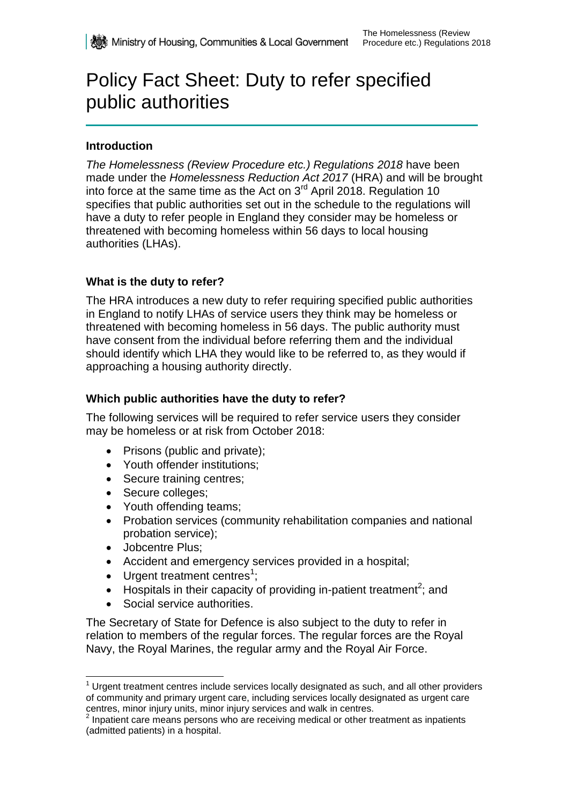# Policy Fact Sheet: Duty to refer specified public authorities

# **Introduction**

*The Homelessness (Review Procedure etc.) Regulations 2018* have been made under the *Homelessness Reduction Act 2017* (HRA) and will be brought into force at the same time as the Act on  $3<sup>rd</sup>$  April 2018. Regulation 10 specifies that public authorities set out in the schedule to the regulations will have a duty to refer people in England they consider may be homeless or threatened with becoming homeless within 56 days to local housing authorities (LHAs).

## **What is the duty to refer?**

The HRA introduces a new duty to refer requiring specified public authorities in England to notify LHAs of service users they think may be homeless or threatened with becoming homeless in 56 days. The public authority must have consent from the individual before referring them and the individual should identify which LHA they would like to be referred to, as they would if approaching a housing authority directly.

## **Which public authorities have the duty to refer?**

The following services will be required to refer service users they consider may be homeless or at risk from October 2018:

- Prisons (public and private);
- Youth offender institutions;
- Secure training centres;
- Secure colleges;
- Youth offending teams;
- Probation services (community rehabilitation companies and national probation service);
- Jobcentre Plus;

-

- Accident and emergency services provided in a hospital;
- $\bullet$  Urgent treatment centres<sup>1</sup>;
- $\bullet$  Hospitals in their capacity of providing in-patient treatment<sup>2</sup>; and
- Social service authorities.

The Secretary of State for Defence is also subject to the duty to refer in relation to members of the regular forces. The regular forces are the Royal Navy, the Royal Marines, the regular army and the Royal Air Force.

 $<sup>1</sup>$  Urgent treatment centres include services locally designated as such, and all other providers</sup> of community and primary urgent care, including services locally designated as urgent care centres, minor injury units, minor injury services and walk in centres.

 $2$  Inpatient care means persons who are receiving medical or other treatment as inpatients (admitted patients) in a hospital.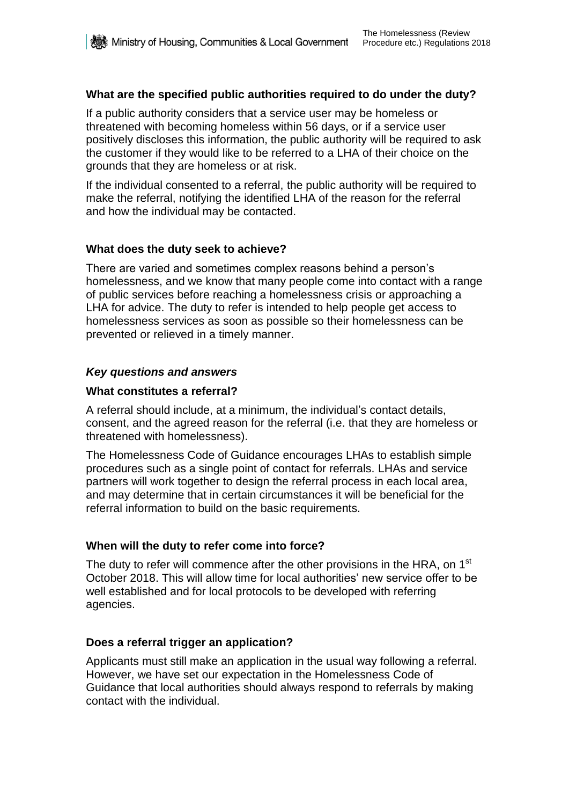## **What are the specified public authorities required to do under the duty?**

If a public authority considers that a service user may be homeless or threatened with becoming homeless within 56 days, or if a service user positively discloses this information, the public authority will be required to ask the customer if they would like to be referred to a LHA of their choice on the grounds that they are homeless or at risk.

If the individual consented to a referral, the public authority will be required to make the referral, notifying the identified LHA of the reason for the referral and how the individual may be contacted.

## **What does the duty seek to achieve?**

There are varied and sometimes complex reasons behind a person's homelessness, and we know that many people come into contact with a range of public services before reaching a homelessness crisis or approaching a LHA for advice. The duty to refer is intended to help people get access to homelessness services as soon as possible so their homelessness can be prevented or relieved in a timely manner.

## *Key questions and answers*

## **What constitutes a referral?**

A referral should include, at a minimum, the individual's contact details, consent, and the agreed reason for the referral (i.e. that they are homeless or threatened with homelessness).

The Homelessness Code of Guidance encourages LHAs to establish simple procedures such as a single point of contact for referrals. LHAs and service partners will work together to design the referral process in each local area, and may determine that in certain circumstances it will be beneficial for the referral information to build on the basic requirements.

## **When will the duty to refer come into force?**

The duty to refer will commence after the other provisions in the HRA, on 1<sup>st</sup> October 2018. This will allow time for local authorities' new service offer to be well established and for local protocols to be developed with referring agencies.

#### **Does a referral trigger an application?**

Applicants must still make an application in the usual way following a referral. However, we have set our expectation in the Homelessness Code of Guidance that local authorities should always respond to referrals by making contact with the individual.